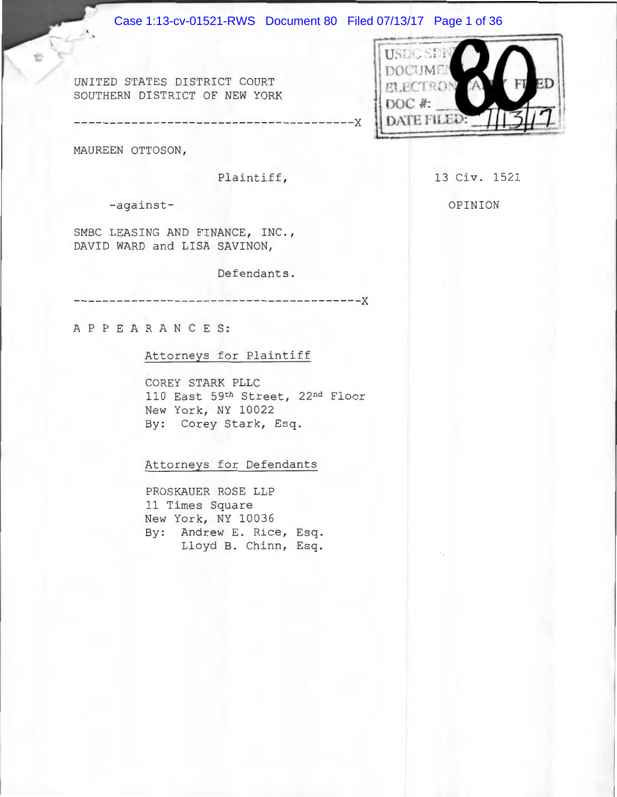#### Case 1:13-cv-01521-RWS Document 80 Filed 07/13/17 Page 1 of 36

*UNITED STATES DISTRICT COURT* SOUTHERN DISTRICT OF NEW YORK

MAUREEN OTTOSON ,

Plaintiff,

-against-

SMBC LEASING AND FINANCE, INC., DAVID WARD and LISA SAVINON,

Defendants.

----------------------------------------x

---------------------------------------x

A P P E A R A N C E S:

#### Attorneys for Plaintiff

COREY STARK PLLC 110 East 59th Street, 22nd Floor New York, NY 10022 By: Corey Stark, Esq.

Attorneys for Defendants

PROSKAUER ROSE LLP 11 Times Square New York, NY 10036 By: Andrew E. Rice, Esq. Lloyd B. Chinn, Esq. 13 Civ. 1521

OPINION

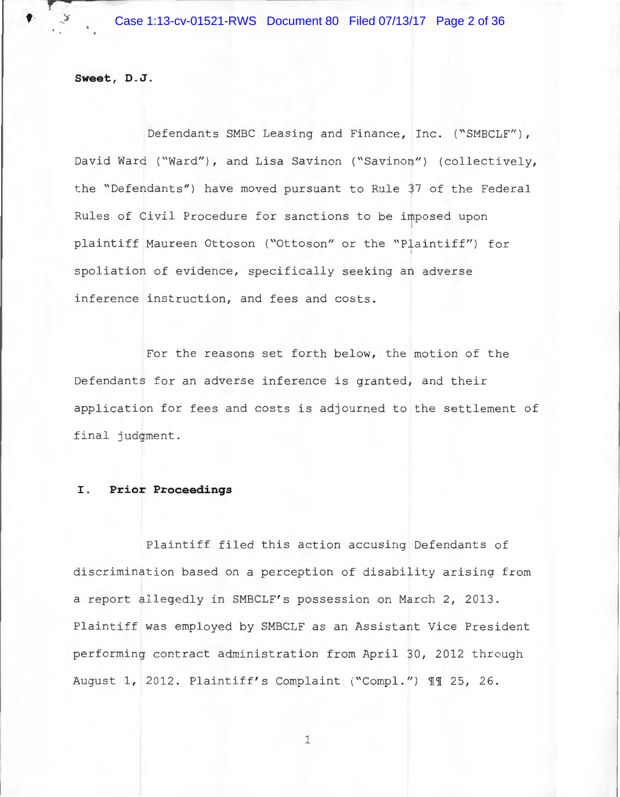**Sweet, D.J .** 

,.

Defendants SMBC Leasing and Finance, Inc. ("SMBCLF"), David Ward ("Ward"), and Lisa Savinon ("Savinon") (collectively, the "Defendants") have moved pursuant to Rule 37 of the Federal Rules of Civil Procedure for sanctions to be imposed upon plaintiff Maureen Ottoson ("Ottoson" or the "Plaintiff") for spoliation of evidence, specifically seeking an adverse inference instruction, and fees and costs.

For the reasons set forth below, the motion of the Defendants for an adverse inference is granted, and their application for fees and costs is adjourned to the settlement of final judgment .

## I. **Prior Proceedings**

Plaintiff filed this action accusing Defendants of discrimination based on a perception of disability arising from a report allegedly in SMBCLF's possession on March 2, 2013. Plaintiff was employed by SMBCLF as an Assistant Vice President performing contract administration from April 30, 2012 through August 1, 2012. Plaintiff's Complaint ("Compl.") II 25, 26.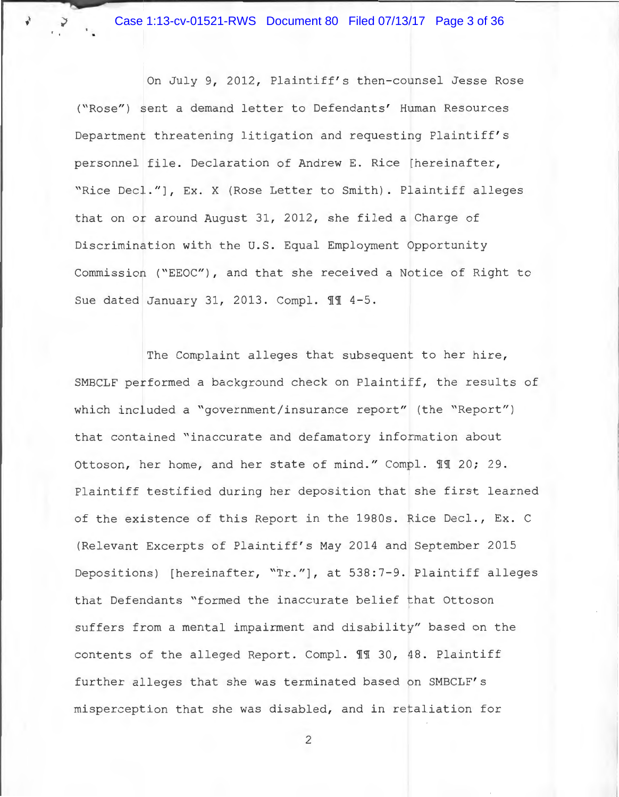Case 1:13-cv-01521-RWS Document 80 Filed 07/13/17 Page 3 of 36

.' .

On July 9, 2012, Plaintiff's then-counsel Jesse Rose ("Rose") sent a demand letter to Defendants' Human Resources Department threatening litigation and requesting Plaintiff's personnel file. Declaration of Andrew E. Rice [hereinafter, "Rice Decl."], Ex. X (Rose Letter to Smith). Plaintiff alleges that on or around August 31, 2012, she filed a Charge of Discrimination with the U.S. Equal Employment Opportunity Commission ("EEOC"), and that she received a Notice of Right to Sue dated January 31, 2013. Compl. 11 4-5.

The Complaint alleges that subsequent to her hire, SMBCLF performed a background check on Plaintiff, the results of which included a "government/insurance report" (the "Report") that contained "inaccurate and defamatory information about Ottoson, her home, and her state of mind." Compl. II 20; 29. Plaintiff testified during her deposition that she first learned of the existence of this Report in the 1980s. Rice Decl., Ex. C (Relevant Excerpts of Plaintiff' s May 2014 and September 2015 Depositions) [hereinafter, "Tr."], at 538:7-9. Plaintiff alleges that Defendants "formed the inaccurate belief that Ottoson suffers from a mental impairment and disability" based on the contents of the alleged Report. Compl.  $\mathbb{II}$  30, 48. Plaintiff further alleges that she was terminated based on SMBCLF's misperception that she was disabled, and in retaliation for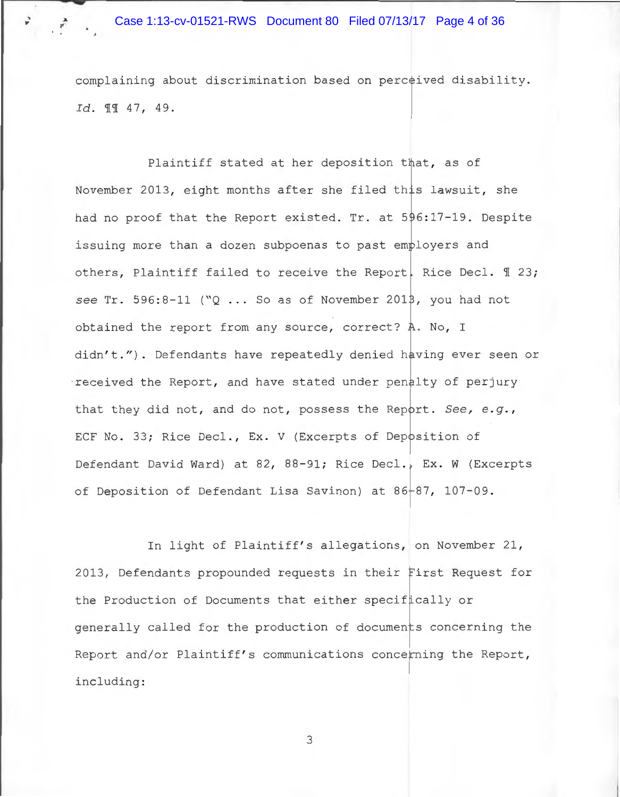complaining about discrimination based on perceived disability . *Id.*  $\text{\textsterling}1 \text{\textsterling} 47, 49.$ 

Plaintiff stated at her deposition that, as of November 2013, eight months after she filed this lawsuit, she had no proof that the Report existed. Tr. at 596:17-19. Despite issuing more than a dozen subpoenas to past employers and others, Plaintiff failed to receive the Report. Rice Decl.  $\mathbb{I}$  23; see Tr. 596:8-11 ("Q ... So as of November 2013, you had not obtained the report from any source, correct? A. No, I didn't."). Defendants have repeatedly denied having ever seen or received the Report, and have stated under penalty of perjury that they did not, and do not, possess the Report. See, e.g., ECF No. 33; Rice Decl., Ex. V (Excerpts of Deposition of Defendant David Ward) at 82, 88-91; Rice Decl., Ex. W (Excerpts of Deposition of Defendant Lisa Savinon) at 86-87, 107-09.

In light of Plaintiff's allegations, on November 21, 2013, Defendants propounded requests in their First Request for the Production of Documents that either specifically or generally called for the production of documents concerning the Report and/or Plaintiff's communications concerning the Report, including: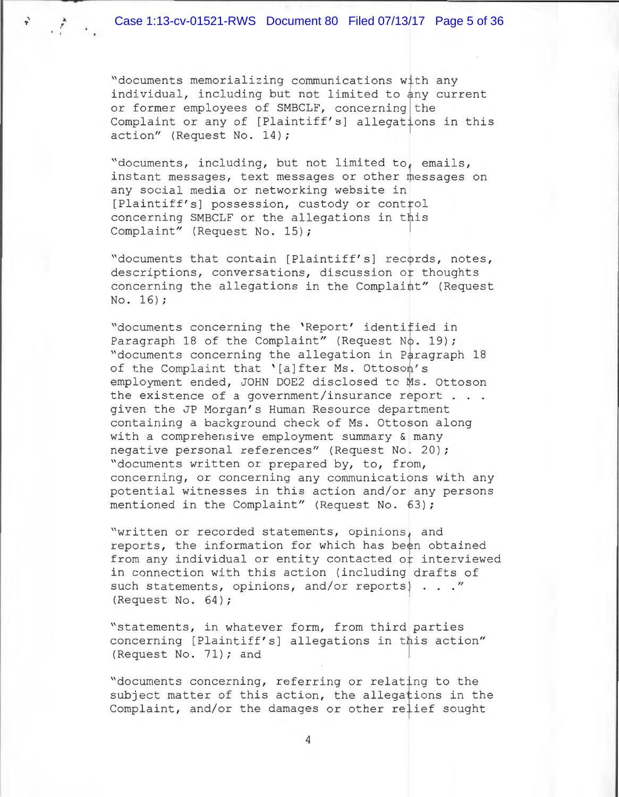• '

"documents memorializing communications with any individual, including but not limited to any current or former employees of SMBCLF, concerning the Complaint or any of [Plaintiff's] allegations in this action" (Request No. 14);

"documents, including, but not limited to, emails, instant messages, text messages or other messages on any social media or networking website in [Plaintiff's] possession, custody or control concerning SMBCLF or the allegations in this Complaint" (Request No. 15);

"documents that contain [Plaintiff's] records, notes, descriptions, conversations, discussion or thoughts concerning the allegations in the Complaint" (Request No. 16);

"documents concerning the 'Report' identified in Paragraph 18 of the Complaint" (Request No. 19); "documents concerning the allegation in Paragraph 18 of the Complaint that '[a]fter Ms. Ottoson's employment ended, JOHN DOE2 disclosed to Ms. Ottoson the existence of a government/insurance report . . . given the JP Morgan's Human Resource department containing a background check of Ms. Ottoson along with a comprehensive employment summary & many negative personal references" (Request No. 20) ; "documents written or prepared by, to, from, concerning, or concerning any communications with any potential witnesses in this action and/or any persons mentioned in the Complaint" (Request No. 63) ;

"written or recorded statements, opinions, and reports, the information for which has been obtained from any individual or entity contacted or interviewed in connection with this action (including drafts of such statements, opinions, and/or reports)  $\ldots$  " (Request No. 64);

"statements, in whatever form, from third parties concerning [Plaintiff's] allegations in this action" (Request No. 71); and

"documents concerning, referring or relating to the subject matter of this action, the allegations in the Complaint, and/or the damages or other relief sought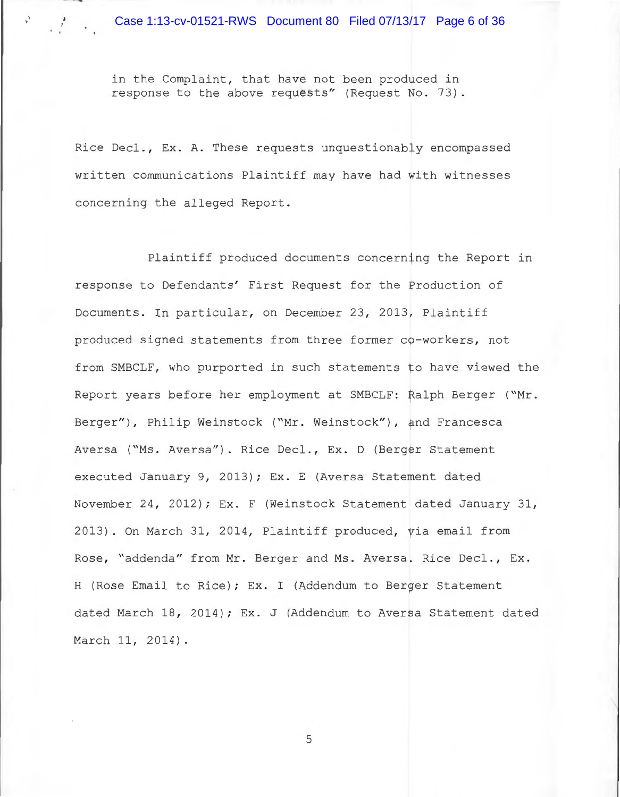in the Complaint, that have not been produced in response to the above requests" (Request No. 73).

) ' ------..\_..,.....,...

 $\frac{a}{r}$ 

Rice Decl., Ex. A. These requests unquestionably encompassed written communications Plaintiff may have had with witnesses concerning the alleged Report.

Plaintiff produced documents concerning the Report in response to Defendants' First Request for the Production of Documents. In particular, on December 23, 2013, Plaintiff produced signed statements from three former co-workers, not from SMBCLF, who purported in such statements to have viewed the Report years before her employment at SMBCLF: Ralph Berger ("Mr . Berger"), Philip Weinstock ("Mr. Weinstock"), and Francesca Aversa ("Ms. Aversa"). Rice Decl., Ex. D (Berger Statement executed January 9, 2013); Ex. E (Aversa Statement dated November 24, 2012); Ex. F (Weinstock Statement dated January 31, 2013). On March 31, 2014, Plaintiff produced, yia email from Rose, "addenda" from Mr. Berger and Ms. Aversa. Rice Decl., Ex. H (Rose Email to Rice) ; Ex. I (Addendum to Berger Statement dated March 18, 2014) ; Ex. J (Addendum to Aversa Statement dated March 11, 2014) .

5

 $\mathbb N$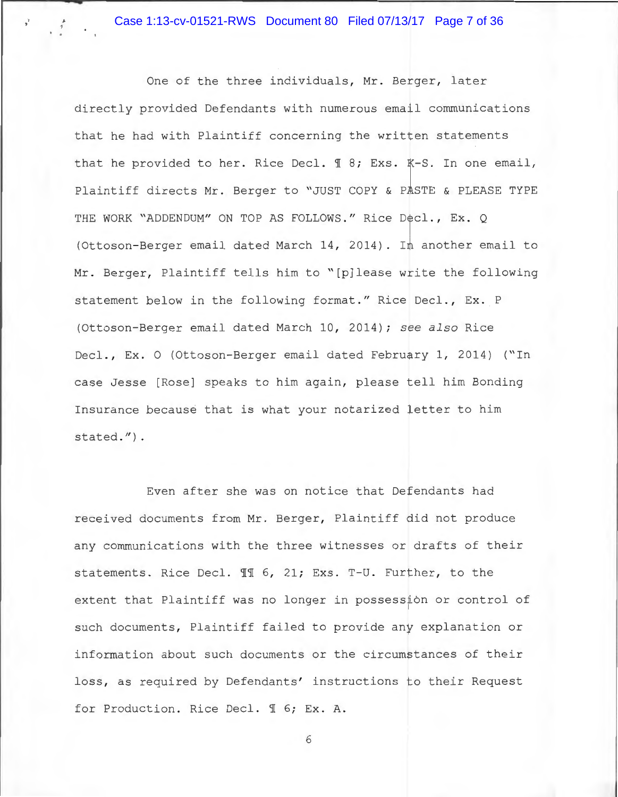Case 1:13-cv-01521-RWS Document 80 Filed 07/13/17 Page 7 of 36

, '

One of the three individuals, Mr. Berger, later directly provided Defendants with numerous email communications that he had with Plaintiff concerning the written statements that he provided to her. Rice Decl.  $\text{\texttt{I}}$  8; Exs. K-S. In one email, Plaintiff directs Mr. Berger to "JUST COPY & PASTE & PLEASE TYPE THE WORK "ADDENDUM" ON TOP AS FOLLOWS." Rice Decl., Ex. Q (Ottoson-Berger email dated March 14, 2014) . In another email to Mr. Berger, Plaintiff tells him to "[p]lease write the following statement below in the following format." Rice Decl., Ex. P (Ottoson- Berger email dated March 10, 2014) ; *see also* Rice Decl., Ex. 0 (Ottoson-Berger email dated February 1, 2014) ("In case Jesse [Rose] speaks to him again, please tell him Bonding Insurance because that is what your notarized letter to him stated.").

Even after she was on notice that Defendants had received documents from Mr . Berger, Plaintiff did not produce any communications with the three witnesses or drafts of their statements. Rice Decl. 11 6, 21; Exs. T-U. Further, to the extent that Plaintiff was no longer in possession or control of such documents, Plaintiff failed to provide any explanation or information about such documents or the circumstances of their loss, as required by Defendants' instructions to their Request for Production. Rice Decl. 1 6; Ex. A.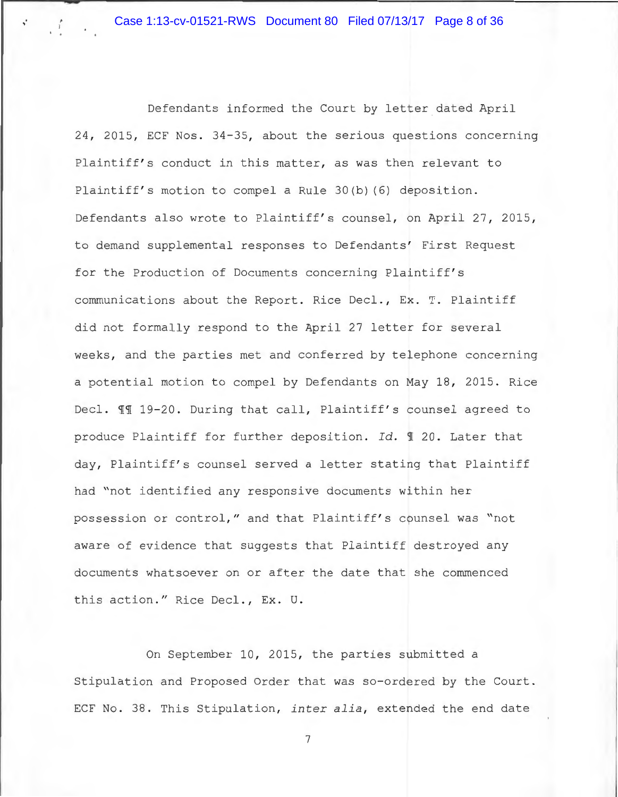; l

> Defendants informed the Court by letter dated April 24, 2015, ECF Nos. 34-35, about the serious questions concerning Plaintiff's conduct in this matter, as was then relevant to Plaintiff's motion to compel a Rule 30(b) (6) deposition. Defendants also wrote to Plaintiff's counsel, on April 27, 2015, to demand supplemental responses to Defendants' First Request for the Production of Documents concerning Plaintiff' <sup>s</sup> communications about the Report. Rice Deel., Ex. T. Plaintiff did not formally respond to the April 27 letter for several weeks, and the parties met and conferred by telephone concerning a potential motion to compel by Defendants on May 18, 2015. Rice Decl.  $\mathbb{H}$  19-20. During that call, Plaintiff's counsel agreed to produce Plaintiff for further deposition. Id. 1 20. Later that day, Plaintiff's counsel served a letter stating that Plaintiff had "not identified any responsive documents within her possession or control," and that Plaintiff's counsel was "not aware of evidence that suggests that Plaintiff destroyed any documents whatsoever on or after the date that she commenced this action." Rice Decl., Ex. U.

> On September 10, 2015, the parties submitted a Stipulation and Proposed Order that was so-ordered by the Court. ECF No. 38. This Stipulation, *inter alia*, extended the end date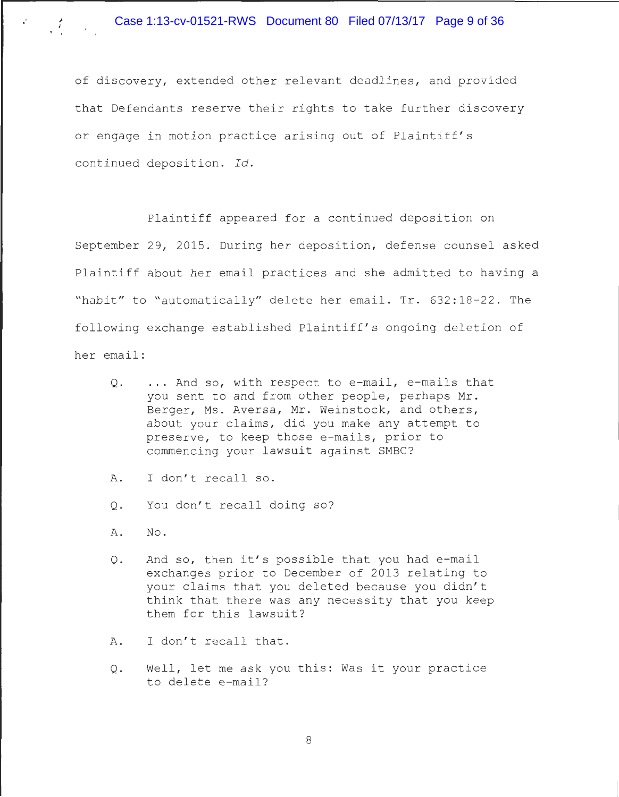of discovery, extended other relevant deadlines, and provided that Defendants reserve their rights to take further discovery or engage in motion practice arising out of Plaintiff' <sup>s</sup> continued deposition. Id.

Plaintiff appeared for a continued deposition on September 29, 2015. During her deposition, defense counsel asked Plaintiff about her email practices and she admitted to having a "habit" to "automatically" delete her email. Tr. 632:18-22. The following exchange established Plaintiff's ongoing deletion of her email:

- Q. ... And so, with respect to e-mail, e-mails that you sent to and from other people, perhaps Mr. Berger, Ms. Aversa, Mr. Weinstock, and others, about your claims, did you make any attempt to preserve, to keep those e-mails, prior to commencing your lawsuit against SMBC?
- A. I don't recall so.
- Q. You don't recall doing so?
- A. No.

; I

- Q. And so, then it's possible that you had e-mail exchanges prior to December of 2013 relating to your claims that you deleted because you didn't think that there was any necessity that you keep them for this lawsuit?
- A. I don't recall that.
- Q. Well, let me ask you this: Was it your practice to delete e-mail?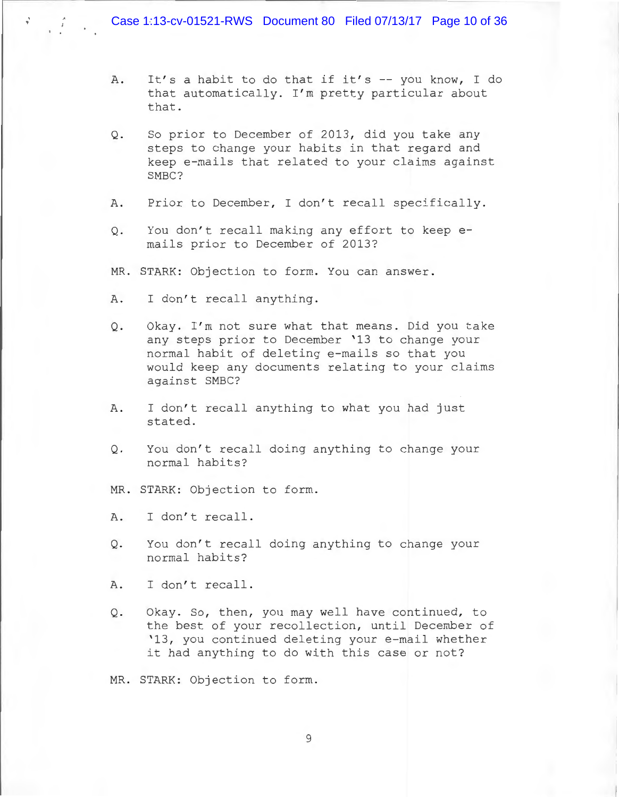- A. It's a habit to do that if it's -- you know, I do that automatically. I'm pretty particular about that .
- Q. So prior to December of 2013, did you take any steps to change your habits in that regard and keep e-mails that related to your claims against SMBC?
- A. Prior to December, I don't recall specifically.
- 0. You don't recall making any effort to keep emails prior to December of 2013?
- MR. STARK: Objection to form. You can answer.
- A. I don't recall anything.

' '

- Q. Okay. I'm not sure what that means. Did you take any steps prior to December '13 to change your normal habit of deleting e-mails so that you would keep any documents relating to your claims against SMBC?
- A. I don't recall anything to what you had just stated.
- Q. You don't recall doing anything to change your normal habits?
- MR. STARK: Objection to form.
- A. I don't recall.
- Q. You don't recall doing anything to change your normal habits?
- A. I don't recall.
- Q. Okay. So, then, you may well have continued, to the best of your recollection, until December of '13, you continued deleting your e-mail whether it had anything to do with this case or not?

MR. STARK: Objection to form.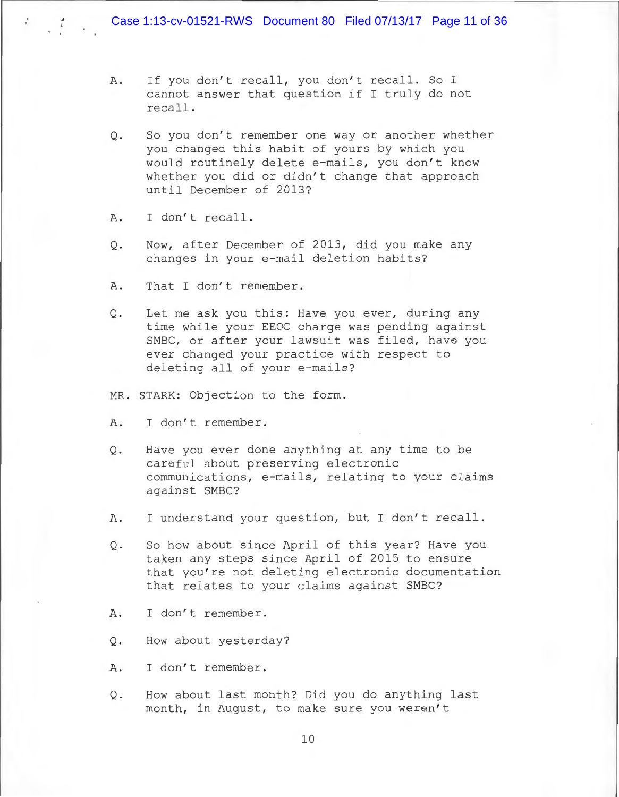- A. If you don't recall, you don't recall. So I cannot answer that question if I truly do not recall.
- Q. So you don't remember one way or another whether you changed this habit of yours by which you would routinely delete e-mails, you don't know whether you did or didn't change that approach until December of 2013?
- A. I don't recall.

' '

- Q. Now, after December of 2013, did you make any changes in your e-mail deletion habits?
- A. That I don't remember.
- Q. Let me ask you this: Have you ever, during any time while your EEOC charge was pending against SMBC, or after your lawsuit was filed, have you ever changed your practice with respect to deleting all of your e-mails?
- MR. STARK: Objection to the form.
- A. I don't remember.
- Q. Have you ever done anything at any time to be careful about preserving electronic communications, e-mails, relating to your claims against SMBC?
- A. I understand your question, but I don't recall.
- Q. So how about since April of this year? Have you taken any steps since April of 2015 to ensure that you're not deleting electronic documentation that relates to your claims against SMBC?
- A. I don't remember.
- Q. How about yesterday?
- A. I don't remember.
- Q. How about last month? Did you do anything last month, in August, to make sure you weren't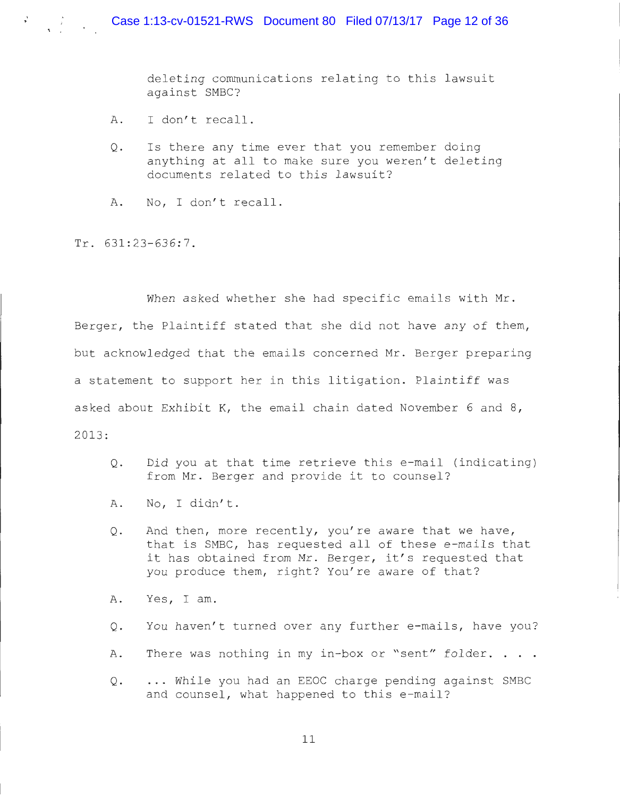deleting communications relating to this lawsuit against SMBC?

- A. I don't recall.
- 0. Is there any time ever that you remember doing anything at all to make sure you weren 't deleting documents related to this lawsuit?
- A. No, I don't recall.

Tr. 631:23-636:7.

' '

 $\frac{1}{\sqrt{2}}$ 

When asked whether she had specific emails with Mr. Berger, the Plaintiff stated that she did not have any of them, but acknowledged that the emails concerned Mr. Berger preparing a statement to support her in this litigation. Plaintiff was asked about Exhibit K, the email chain dated November 6 and  $8$ , 2013:

- Q. Did you at that time retrieve this e-mail (indicating) from Mr. Berger and provide it to counsel?
- A. No, I didn't.
- Q. And then, more recently, you're aware that we have, that is SMBC, has requested all of these e-mails that it has obtained from Mr. Berger, it's requested that you produce them, right? You're aware of that?
- A. Yes, I am.
- Q. You haven't turned over any further e-mails, have you?
- A. There was nothing in my in-box or "sent" folder. . . .
- Q. ... While you had an EEOC charge pending against SMBC and counsel, what happened to this e-mail?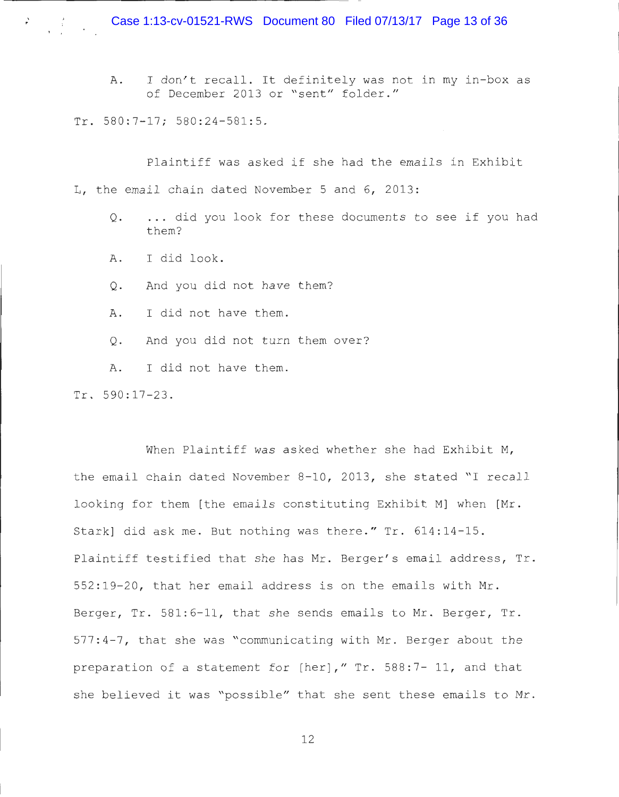A. I don't recall. It definitely was not in my in-box as of December 2013 or "sent" folder."

Tr. 580:7-17; 580:24-581:5.

. '

Plaintiff was asked if she had the emails in Exhibit L. the email chain dated November 5 and 6, 2013:

- Q. . .. did you look for these documents to see if you had them?
- A. I did look.
- Q. And you did not have them?
- A. I did not have them.
- Q. And you did not turn them over?
- A. I did not have them .

Tr. 590:17-23.

When Plaintiff was asked whether she had Exhibit M, the email chain dated November 8-10, 2013, she stated "I recall looking for them [the emails constituting Exhibit M] when [Mr. Stark] did ask me. But nothing was there." Tr. 614:14-15. Plaintiff testified that she has Mr. Berger's email address, Tr. 552:19-20, that her email address is on the emails with Mr. Berger, Tr. 581:6-11, that she sends emails to Mr. Berger, Tr. 577 : 4-7, that she was "communicating with Mr . Berger about the preparation of a statement for  $[her]$ ,"  $Tr. 588:7 - 11$ , and that she believed it was "possible" that she sent these emails to Mr.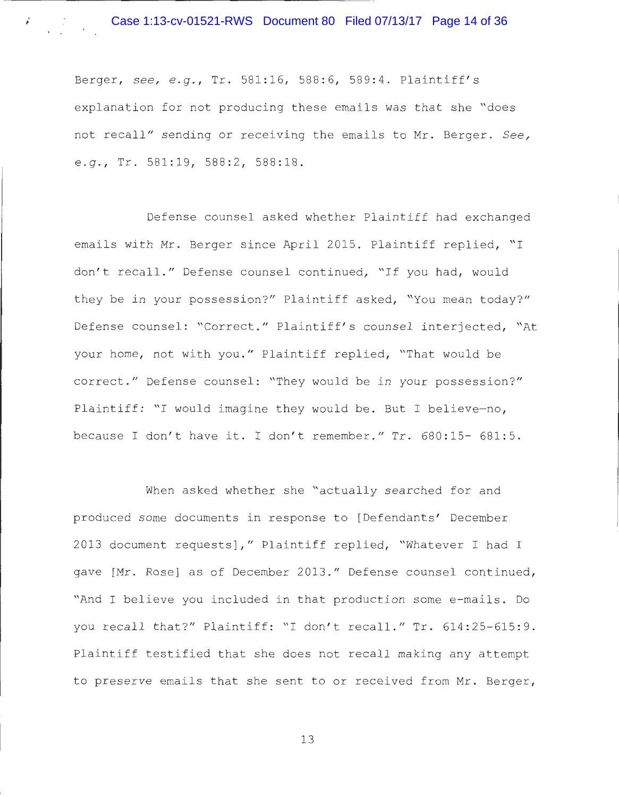Berger, see, e.g., Tr. 581:16, 588:6, 589:4. Plaintiff's explanation for not producing these emails was that she "does not recall" sending or receiving the emails to Mr. Berger. *See, e.g.*, Tr. 581:19, 588:2, 588:18.

Defense counsel asked whether Plaintiff had exchanged emails with Mr. Berger since April 2015. Plaintiff replied, "I don't recall." Defense counsel continued, "If you had, would they be in your possession?" Plaintiff asked, "You mean today?" Defense counsel: "Correct." Plaintiff's counsel interjected, "At your home, not with you. " Plaintiff replied, "That would be correct." Defense counsel: "They would be in your possession?" Plaintiff: "I would imagine they would be. But I believe-no, because I don't have it. I don't remember." Tr. 680:15- 681:5.

When asked whether she "actually searched for and produced some documents in response to [Defendants' December 2013 document requests]," Plaintiff replied, "Whatever I had I gave [Mr. Rose] as of December 2013. " Defense counsel continued, "And I believe you included in that production some e-mails. Do you recall that?" Plaintiff: "I don't recall." Tr. 614:25-615:9. Plaintiff testified that she does not recall making any attempt to preserve emails that she sent to or received from Mr. Berger,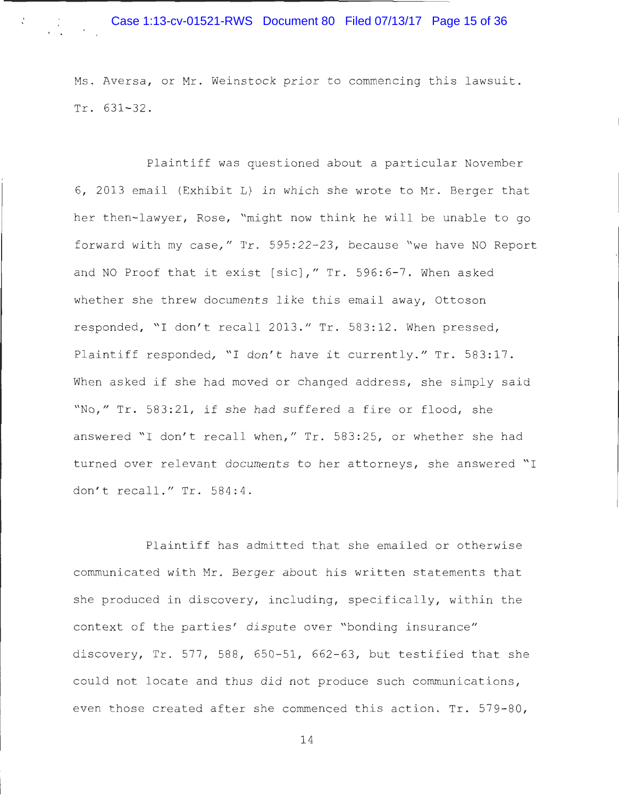### Case 1:13-cv-01521-RWS Document 80 Filed 07/13/17 Page 15 of 36

, '

Ms. Aversa, or Mr. Weinstock prior to commencing this lawsuit. Tr. 631-32.

Plaintiff was questioned about a particular November <sup>6</sup> , 2013 email (Exhibit L) in which she wrote to Mr. Berger that her then-lawyer, Rose, "might now think he will be unable to go forward with my case," Tr. 595:22-23, because "we have NO Report and NO Proof that it exist [sic]," Tr. 596:6-7. When asked whether she threw documents like this email away, Ottoson responded, "I don't recall 2013." Tr. 583:12. When pressed, Plaintiff responded, "I don't have it currently." Tr. 583:17. When asked if she had moved or changed address, she simply said "No," Tr. 583:21, if she had suffered a fire or flood, she answered "I don't recall when," Tr. 583:25, or whether she had turned over relevant documents to her attorneys, she answered "I don't recall." Tr. 584:4.

Plaintiff has admitted that she emailed or otherwise communicated with Mr. Berger about his written statements that she produced in discovery, including, specifically, within the context of the parties' dispute over "bonding insurance" discovery, Tr. 577, 588, 650-51, 662-63, but testified that she could not locate and thus did not produce such communications, even those created after she commenced this action. Tr.  $579-80$ ,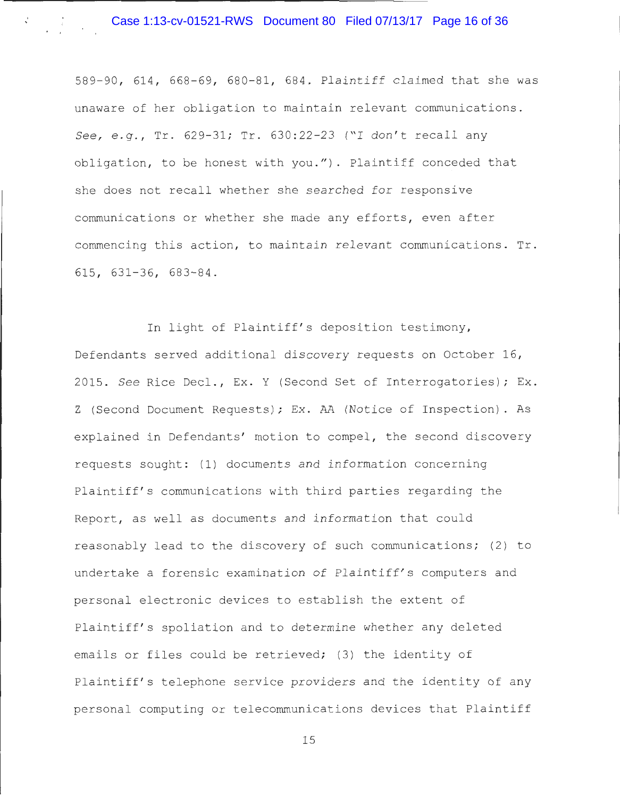#### Case 1:13-cv-01521-RWS Document 80 Filed 07/13/17 Page 16 of 36

589 - <sup>90</sup> , 614 , 668 - <sup>69</sup> , 680 - <sup>81</sup> , 684 . Plaintiff c laimed that she was unaware of her obligation to maintain relevant communications . *See, e.g., Tr. 629-31; Tr. 630:22-23* ("I don't recall any obligation, to be honest with you."). Plaintiff conceded that she does not recall whether she searched for responsive communications or whether she made any efforts, even after commencing this action, to maintain relevant communications.  $Tr$ .  $615, 631 - 36, 683 - 84.$ 

In light of Plaintiff's deposition testimony, Defendants served additional discovery requests on October 16, 2015 . *See* Rice Deel ., Ex . Y (Second Set of Interrogatories) ; Ex . Z (Second Document Requests) ; Ex . AA (Notice of Inspection) . As explained in Defendants' motion to compel, the second discovery requests sought: (1) documents and information concerning Plaintiff's communications with third parties regarding the Report, as well as documents and information that could reasonably lead to the discovery of such communications; (2) to undertake a forensic examination of Plaintiff's computers and personal electronic devices to establish the extent of Plaintiff's spoliation and to determine whether any deleted emails or files could be retrieved; (3) the identity of Plaintiff's telephone service providers and the identity of any personal computing or telecommunications devices that Plaintiff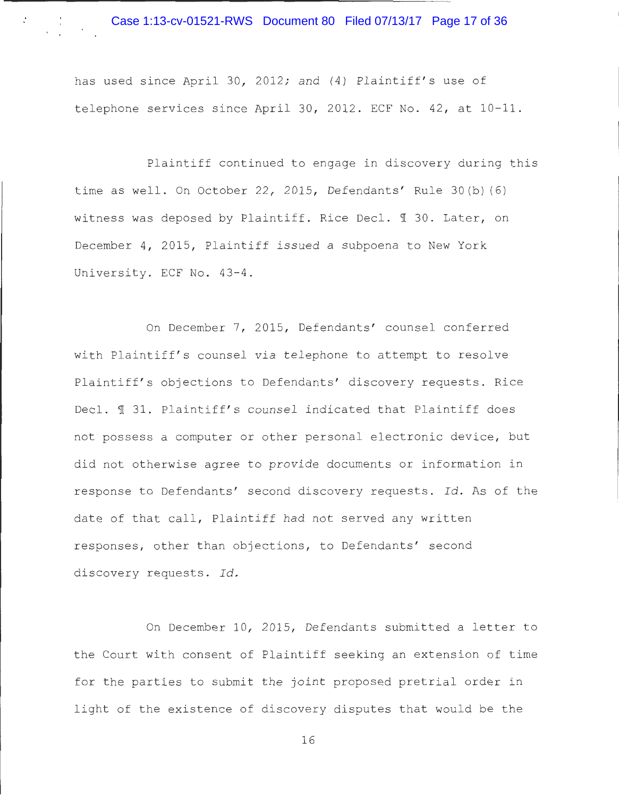has used since April 30, 2012; and (4) Plaintiff's use of telephone services since April 30, 2012. ECF No.  $42$ , at  $10-11$ .

Plaintiff continued to engage in discovery during this time as well. On October 22, 2015, Defendants' Rule 30(b)(6) witness was deposed by Plaintiff. Rice Decl.  $\text{\texttt{T}}$  30. Later, on December 4, 2015, Plaintiff issued a subpoena to New York University. ECF No. 43-4.

On December 7, 2015, Defendants' counsel conferred with Plaintiff's counsel via telephone to attempt to resolve Plaintiff's objections to Defendants' discovery requests. Rice Decl.  $\text{\texttt{I}}$  31. Plaintiff's counsel indicated that Plaintiff does not possess a computer or other personal electronic device, but did not otherwise agree to provide documents or information in response to Defendants' second discovery requests . *Id .* As of the date of that call, Plaintiff had not served any written responses, other than objections, to Defendants' second discovery requests. Id.

On December 10, 2015, Defendants submitted a letter to the Court with consent of Plaintiff seeking an extension of time for the parties to submit the joint proposed pretrial order in light of the existence of discovery disputes that would be the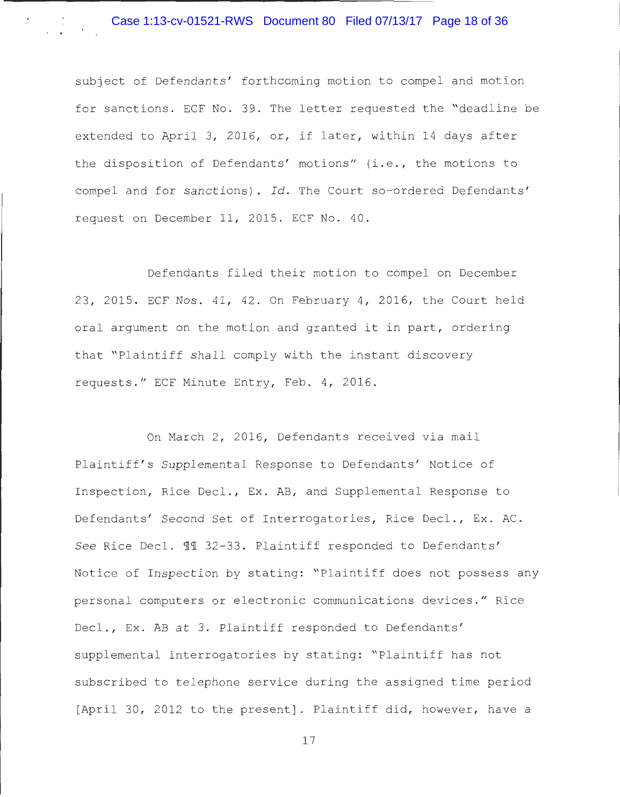subject of Defendants' forthcoming motion to compel and motion for sanctions. ECF No. 39. The letter requested the "deadline be extended to April 3, 2016, or, if later, within 14 days after the disposition of Defendants' motions" (i.e., the motions to compel and for sanctions). Id. The Court so-ordered Defendants' request on December 11, 2015. ECF No. 40.

Defendants filed their motion to compel on December 23, 2015. ECF Nos. 41, 42. On February 4, 2016, the Court held oral argument on the motion and granted it in part, ordering that " Plaintiff shall comply with the instant discovery requests." ECF Minute Entry, Feb. 4, 2016.

On March 2, 2016, Defendants received via mail Plaintiff's Supplemental Response to Defendants' Notice of Inspection, Rice Decl., Ex. AB, and Supplemental Response to Defendants' Second Set of Interrogatories, Rice Decl., Ex. AC. See Rice Decl. 11 32-33. Plaintiff responded to Defendants' Notice of Inspection by stating: "Plaintiff does not possess any personal computers or electronic communications devices ." Rice Decl., Ex. AB at 3. Plaintiff responded to Defendants' supplemental interrogatories by stating: "Plaintiff has not subscribed to telephone service during the assigned time period [April 30, 2012 to the present]. Plaintiff did, however, have a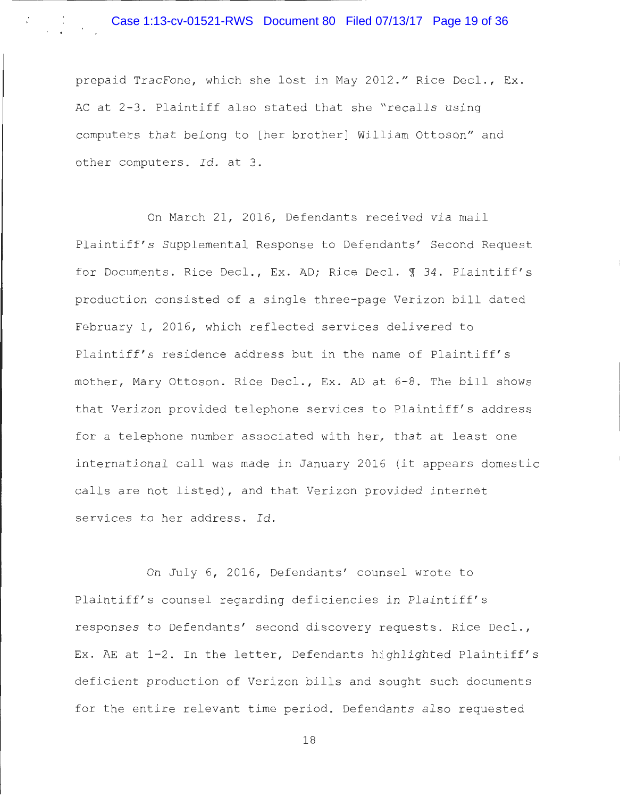prepaid TracFone, which she lost in May 2012." Rice Decl., Ex. AC at 2-3. Plaintiff also stated that she "recalls using computers that belong to [her brother] William Ottoson" and other computers. Id. at 3.

On March 21, 2016, Defendants received via mail Plaintiff's Supplemental Response to Defendants' Second Request for Documents. Rice Decl., Ex. AD; Rice Decl. 1 34. Plaintiff's production consisted of a single three-page Verizon bill dated February 1, 2016, which reflected services delivered to Plaintiff's residence address but in the name of Plaintiff's mother, Mary Ottoson. Rice Decl., Ex. AD at 6-8. The bill shows that Verizon provided telephone services to Plaintiff' s address for a telephone number associated with her, that at least one international call was made in January 2016 (it appears domestic calls are not listed), and that Verizon provided internet services to her address. Id.

On July 6, 2016, Defendants' counsel wrote to Plaintiff's counsel regarding deficiencies in Plaintiff's responses to Defendants' second discovery requests. Rice Decl., Ex. AE at 1-2. In the letter, Defendants highlighted Plaintiff's deficient production of Verizon bills and sought such documents for the entire relevant time period. Defendants also requested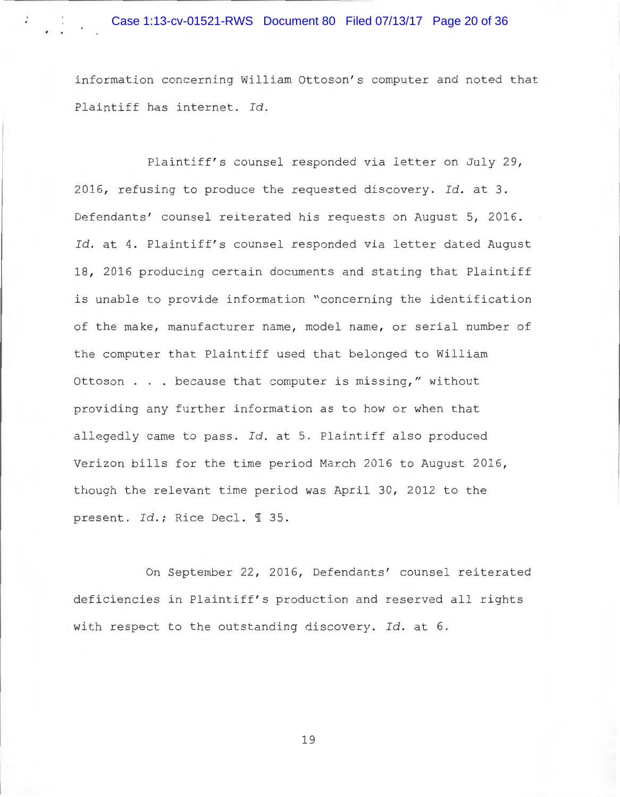information concerning William Ottoson's computer and noted that Plaintiff has internet. Id.

Plaintiff's counsel responded via letter on July 29, 2016, refusing to produce the requested discovery. Id. at 3. Defendants' counsel reiterated his requests on August 5, 2016. Id. at 4. Plaintiff's counsel responded via letter dated August 18, 2016 producing certain documents and stating that Plaintiff is unable to provide information "concerning the identification of the make, manufacturer name, model name, or serial number of the computer that Plaintiff used that belonged to William Ottoson . . . because that computer is missing," without providing any further information as to how or when that allegedly came to pass. *Id.* at 5. Plaintiff also produced Verizon bills for the time period March 2016 to August 2016, though the relevant time period was April 30, 2012 to the present. *Id.*; Rice Decl. 1 35.

On September 22, 2016, Defendants' counsel reiterated deficiencies in Plaintiff's production and reserved all rights with respect to the outstanding discovery. Id. at 6.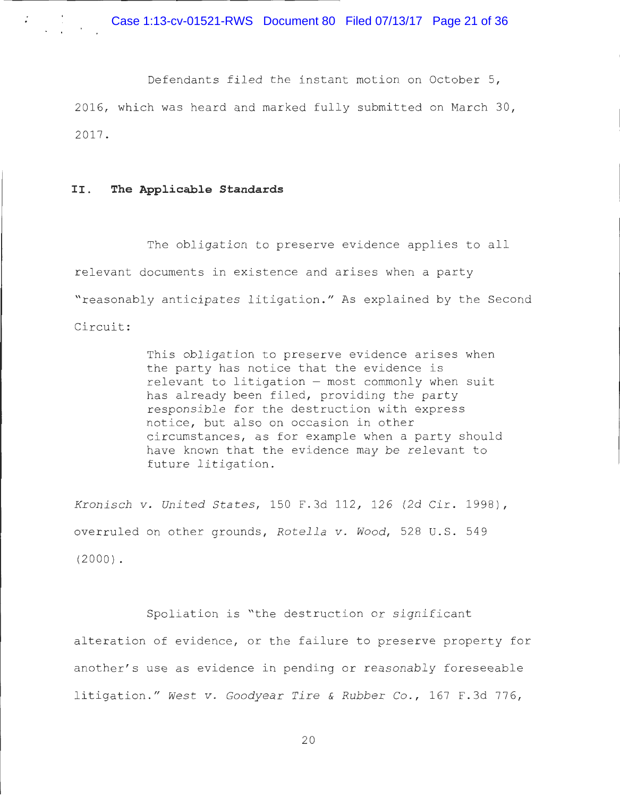Defendants filed the instant motion on October 5, 2016, which was heard and marked fully submitted on March 30, 2017 .

#### II. **The Applicable Standards**

The obligation to preserve evidence applies to all relevant documents in existence and arises when a party "reasonably anticipates litigation." As explained by the Second Circuit :

> This obligation to preserve evidence arises when the party has notice that the evidence is  $relevant$  to litigation  $-$  most commonly when suit has already been filed, providing the party responsible for the destruction with express notice, but also on occasion in other circumstances, as for example when a party should have known that the evidence may be relevant to future litigation.

*Kronisch v. United States,* 150 F.3d 112, 126 (2d Cir. 1998), ove rruled on other grounds, *Rotella v . Wood ,* 528 U. S . 549 (2000) .

Spoliation is "the destruction or significant alteration of evidence, or the failure to preserve property for another's use as evidence in pending or reasonably foreseeable litigation . " *West v . Goodyear Tire* & *Rubber* Co., 167 F . 3d 776 ,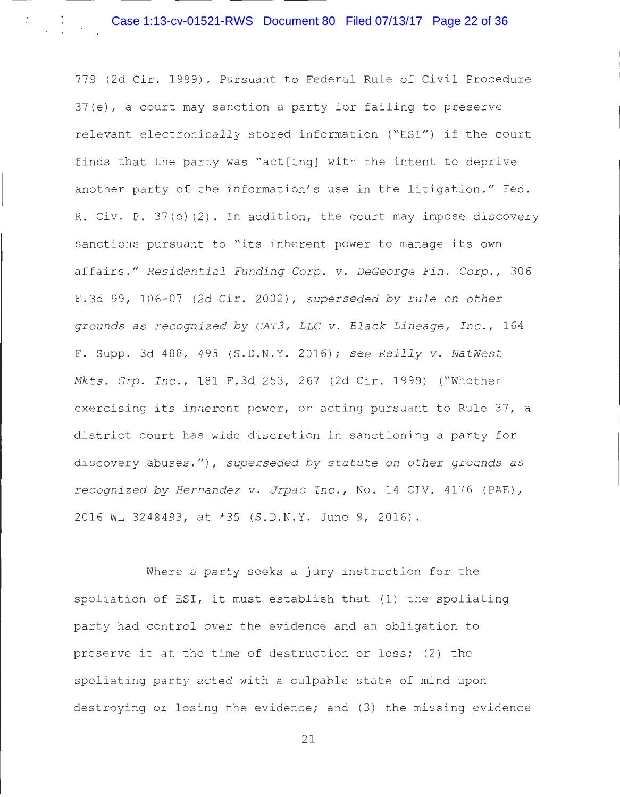779 (2d Cir . 1999) . Pursuant to Federal Rule of Civil Procedure 37(e) , a court may sanction a party for failing to preserve relevant electronically stored information ("ESI") if the court finds that the party was "act[ing] with the intent to deprive another party of the information's use in the litigation." Fed. R. Civ. P. 37(e)(2). In addition, the court may impose discovery sanctions pursuant to "its inherent power to manage its own affairs ." *Residential Funding Corp . v . DeGeorge Fin . Corp.,* 30 6 F.3d 99, 106-07 (2d Cir. 2002), *superseded by rule on other grounds as recognized by CAT3, LLC v. Black Lineage, Inc., 164* F. Supp. 3d 488 , 495 (S . D.N . Y. 20 16 ) ; *see Reilly v . NatWest Mkts . Grp . Inc .,* 181 F . 3d 253 , 267 (2d Cir . 1999) ("Whether exercising its inherent power, or acting pursuant to Rule 37, a district court has wide discretion in sanctioning a party for discovery abuses.") , *superseded by statute on other grounds as*  recognized by Hernandez v. Jrpac Inc., No. 14 CIV. 4176 (PAE), 2016 WL 3248493, at \*35 (S.D.N.Y. June 9, 2016).

Where a party seeks a jury instruction for the spoliation of ESI, it must establish that (1) the spoliating party had control over the evidence and an obligation to preserve it at the time of destruction or loss; (2) the spoliating party acted with a culpable state of mind upon destroying or losing the evidence; and (3) the missing evidence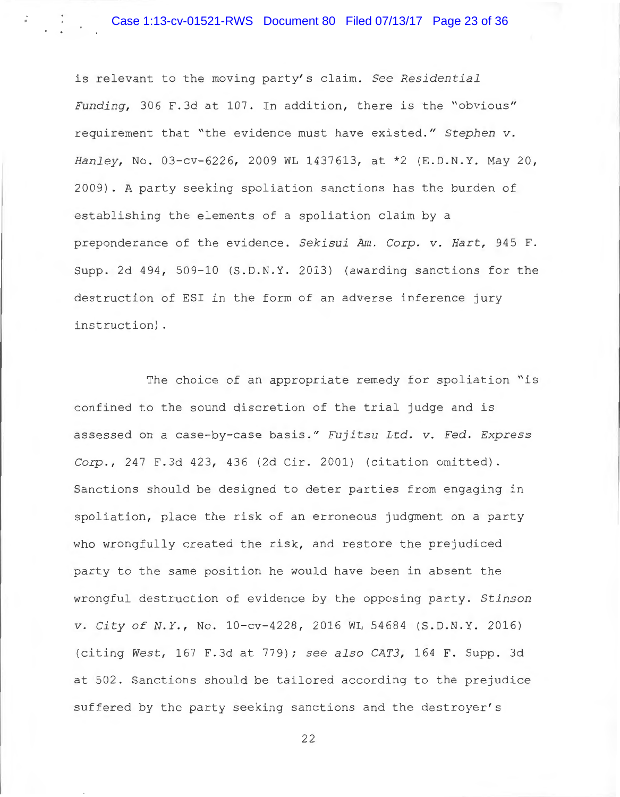# Case 1:13-cv-01521-RWS Document 80 Filed 07/13/17 Page 23 of 36

is relevant to the moving party's claim. See Residential *Funding,* 306 F.3d at 107. In addition, there is the "obvious" requirement that "the evidence must have existed." Stephen v. Hanley, No. 03-cv-6226, 2009 WL 1437613, at \*2 (E.D.N.Y. May 20, 2009) . A party seeking spoliation sanctions has the burden of establishing the elements of a spoliation claim by a preponderance of the evidence. Sekisui Am. Corp. v. Hart, 945 F. Supp. 2d  $494$ , 509-10 (S.D.N.Y. 2013) (awarding sanctions for the destruction of ESI in the form of an adverse inference jury instruction) .

The choice of an appropriate remedy for spoliation "is confined to the sound discretion of the trial judge and is assessed on a case-by- case basi s ." *Fujitsu Ltd . v . Fed . Express Corp.*, 247 F.3d 423, 436 (2d Cir. 2001) (citation omitted). Sanctions should be designed to deter parties from engaging in spoliation, place the risk of an erroneous judgment on a party who wrongfully created the risk, and restore the prejudiced party to the same position he would have been in absent the wrongful destruction of evidence by the opposing party. Stinson *v. City of N.Y., No.* 10-cv-4228, 2016 WL 54684 (S.D.N.Y. 2016) (citing *West ,* 167 F . 3d at 779) ; *see also CAT3 ,* 164 F. Supp . 3d at 502. Sanctions should be tailored according to the prejudice suffered by the party seeking sanctions and the destroyer's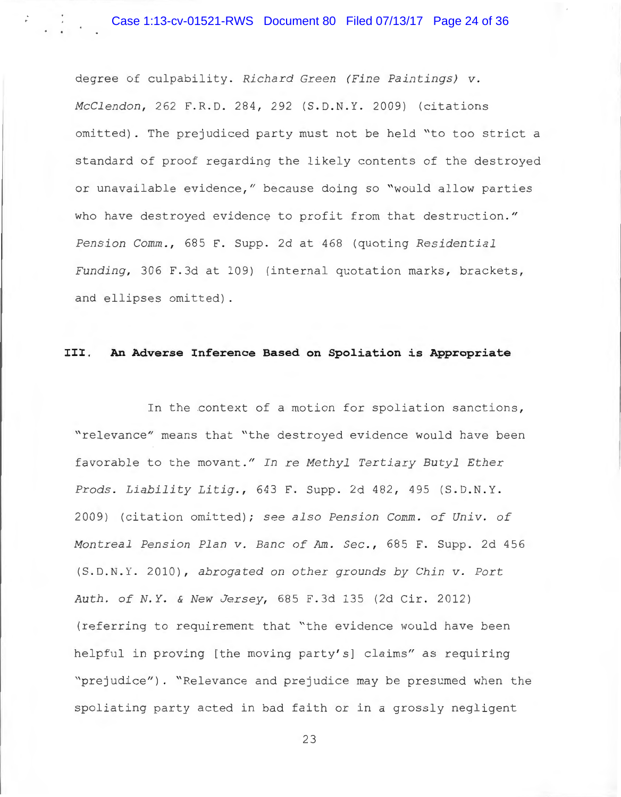degree of culpability. *Richard Green (Fine Paintings) v. Mcclendon ,* 262 F . R. D. 284 , 292 (S.D . N. Y. 2009) (citations omitted). The prejudiced party must not be held "to too strict a standard of proof regarding the likely contents of the destroyed or unavailable evidence," because doing so "would allow parties who have destroyed evidence to profit from that destruction." *Pension Comm., 685 F. Supp. 2d at 468 (quoting Residential Funding*, 306 F.3d at 109) (internal quotation marks, brackets, and ellipses omitted).

## **III. An Adverse Inference Based on Spoliation is Appropriate**

In the context of a motion for spoliation sanctions, " relevance" means that "the destroyed evidence would have been favorable to the movant ." *In re Methyl Tertiary Butyl Ether Prods . Liability Litig.,* 643 F . Supp . 2d 482 , 495 (S.D . N. Y. 2009) (citation omitted); see also Pension Comm. of Univ. of *Montreal Pension Plan v. Banc of Am. Sec., 685 F. Supp. 2d 456* (S . D. N. Y. 2010) , *abrogated on other grounds by Chin v . Port Auth . of N. <sup>Y</sup> .* & *New Jersey,* 685 F.3d 135 (2d Cir . 2012) (referring to requirement that " the evidence would have been helpful in proving [the moving party's] claims" as requiring "prejudice"). "Relevance and prejudice may be presumed when the spoliating party acted in bad faith or in a grossly negligent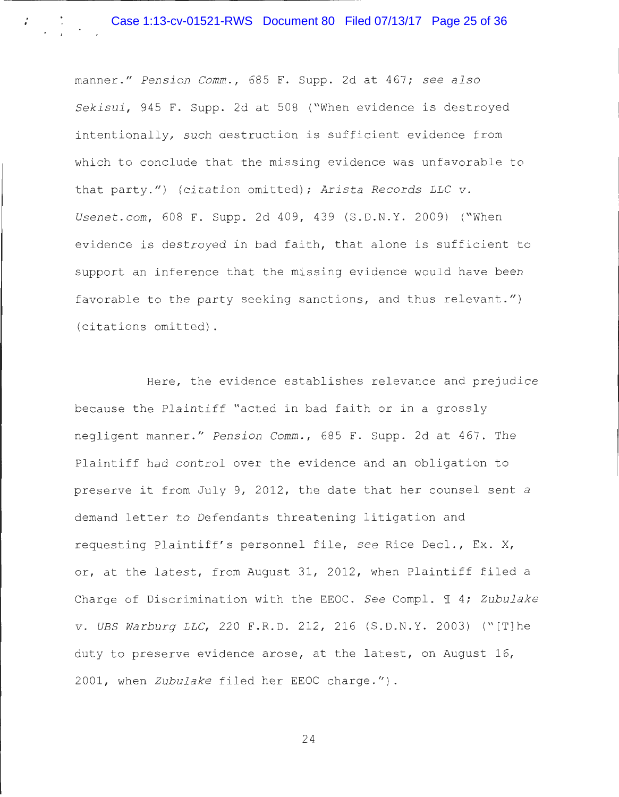manner." Pension Comm., 685 F. Supp. 2d at 467; see also Sekisui, 945 F. Supp. 2d at 508 ("When evidence is destroyed intentionally, such destruction is sufficient evidence from which to conclude that the missing evidence was unfavorable to that party.") (citation omitted); Arista Records LLC v. *Usenet.com,* 608 F. Supp. 2d 409, 439 (S.D.N.Y. 2009) ("When evidence is destroyed in bad faith, that alone is sufficient to support an inference that the missing evidence would have been favorable to the party seeking sanctions, and thus relevant.") (citations omitted).

Here, the evidence establishes relevance and prejudice because the Plaintiff "acted in bad faith or in a grossly negligent manner ." *Pension Comm .,* 685 F . Supp . 2d at 467. The Plaintiff had control over the evidence and an obligation to preserve it from July 9, 2012, the date that her counsel sent a demand letter to Defendants threatening litigation and requesting Plaintiff's personnel file, see Rice Decl., Ex. X, or, at the latest, from August 31, 2012, when Plaintiff filed a Charge of Discrimination with the EEOC. See Compl. 1 4; *Zubulake v . UBS Warburg LLC,* 220 F.R.D. 212 , 216 (S . D.N.Y . 2003) ("[T]he duty to preserve evidence arose, at the latest, on August  $16$ , 2001, when Zubulake filed her EEOC charge.").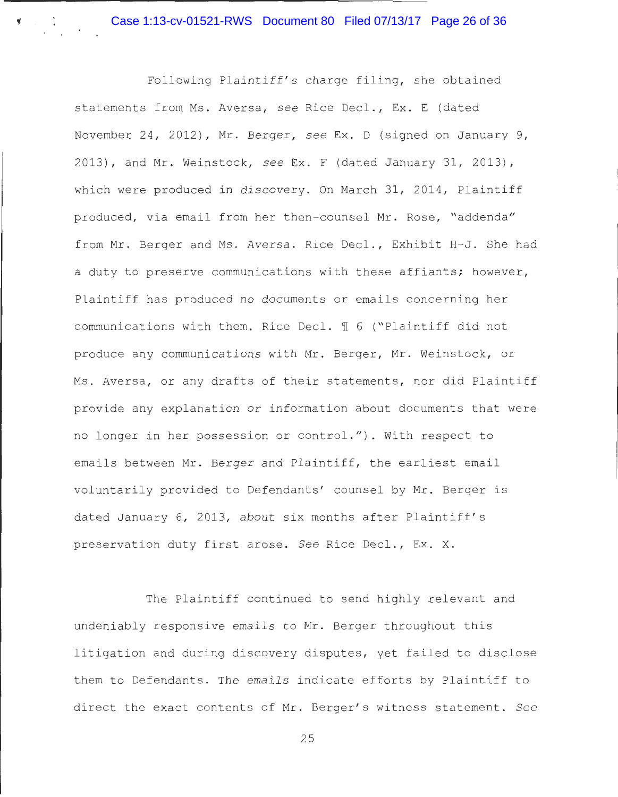Case 1:13-cv-01521-RWS Document 80 Filed 07/13/17 Page 26 of 36

Following Plaintiff's charge filing, she obtained statements from Ms. Aversa, see Rice Decl., Ex. E (dated November 24, 2012), Mr. Berger, see Ex. D (signed on January 9, 2013) , and Mr . Weinstock , *see* Ex . F (dated January 31 , 2013) , which were produced in discovery. On March 31, 2014, Plaintiff produced, via email from her then-counsel Mr. Rose, "addenda" from Mr. Berger and Ms. Aversa. Rice Decl., Exhibit H-J. She had a duty to preserve communications with these affiants; however, Plaintiff has produced no documents or emails concerning her communications with them. Rice Decl.  $\mathbb I$  6 ("Plaintiff did not produce any communications with Mr. Berger, Mr. Weinstock, or Ms. Aversa, or any drafts of their statements, nor did Plaintiff provide any explanation or information about documents that were no longer in her possession or control." ). With respect to emails between Mr. Berger and Plaintiff, the earliest email voluntarily provided to Defendants' counsel by Mr. Berger is dated January 6, 2013, about six months after Plaintiff's preservation duty first arose. See Rice Decl., Ex. X.

The Plaintiff continued to send highly relevant and undeniably responsive emails to Mr. Berger throughout this <sup>l</sup> itigation and during discovery disputes, yet failed to disclose them to Defendants. The emails indicate efforts by Plaintiff to direct the exact contents of Mr . Berger' s witness statement . *See*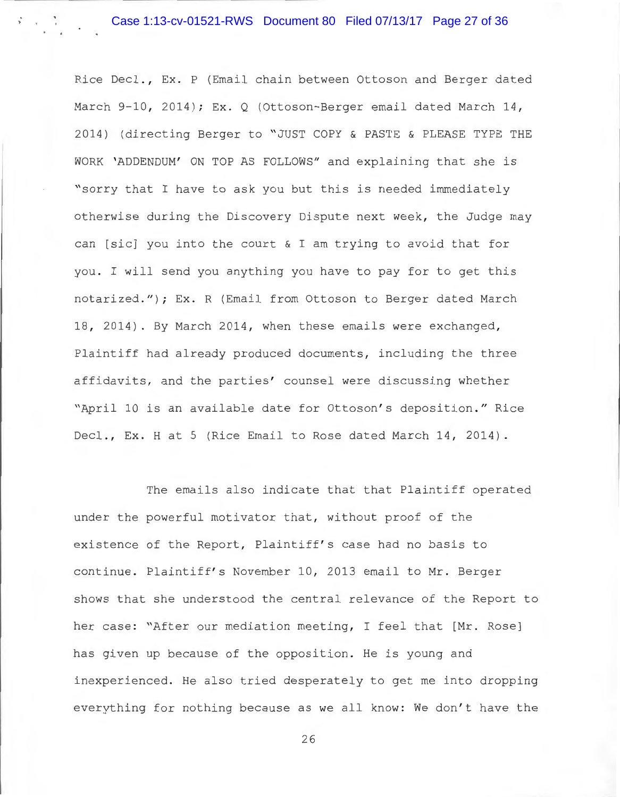Rice Deel ., Ex. P (Email chain between Ottoson and Berger dated March 9-10, 2014); Ex. Q (Ottoson-Berger email dated March 14, 2014) (directing Berger to "JUST COPY & PASTE & PLEASE TYPE THE WORK 'ADDENDUM' ON TOP AS FOLLOWS" and explaining that she is "sorry that I have to ask you but this is needed immediately otherwise during the Discovery Dispute next week, the Judge may can [sic] you into the court & I am trying to avoid that for you. I will send you anything you have to pay for to get this notarized."); Ex. R (Email from Ottoson to Berger dated March 18, 2014). By March 2014, when these emails were exchanged, Plaintiff had already produced documents, including the three affidavits, and the parties' counsel were discussing whether "April 10 is an available date for Ottoson's deposition." Rice Decl., Ex. H at 5 (Rice Email to Rose dated March 14, 2014).

The emails also indicate that that Plaintiff operated under the powerful motivator that, without proof of the existence of the Report, Plaintiff's case had no basis to continue. Plaintiff' s November 10, 2013 email to Mr. Berger shows that she understood the central relevance of the Report to her case: "After our mediation meeting, I feel that [Mr. Rose] has given up because of the opposition. He is young and inexperienced. He also tried desperately to get me into dropping everything for nothing because as we all know: We don't have the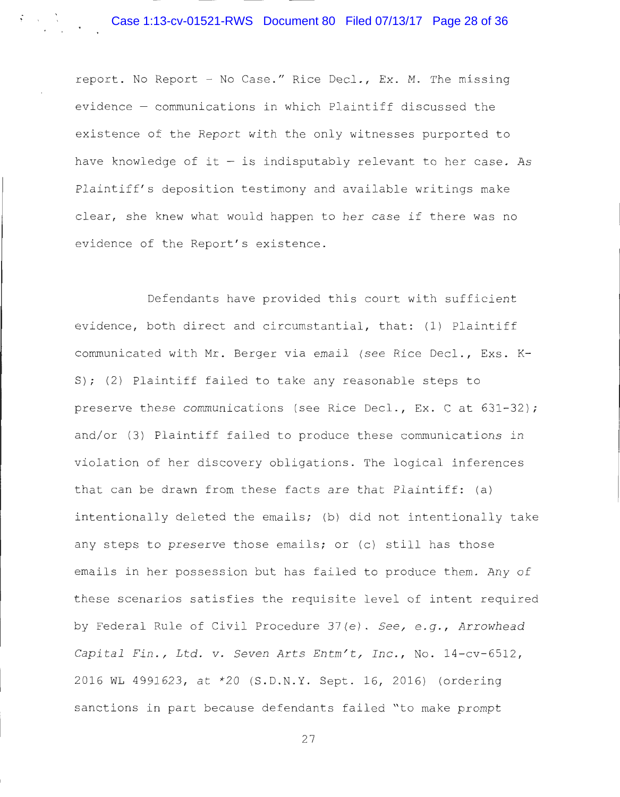# Case 1:13-cv-01521-RWS Document 80 Filed 07/13/17 Page 28 of 36

report. No Report - No Case." Rice Decl., Ex. M. The missing evidence - communications in which Plaintiff discussed the existence of the Report with the only witnesses purported to have knowledge of it  $-$  is indisputably relevant to her case. As Plaintiff's deposition testimony and available writings make clear, she knew what would happen to her case if there was no evidence of the Report's existence.

Defendants have provided this court with sufficient evidence, both direct and circumstantial, that: (1) Plaintiff communicated with Mr. Berger via email (see Rice Decl., Exs. K-S); (2) Plaintiff failed to take any reasonable steps to preserve these communications (see Rice Decl., Ex. C at  $631-32$ ); and/or (3) Plaintiff failed to produce these communications in violation of her discovery obligations. The logical inferences that can be drawn from these facts are that Plaintiff: (a) intentionally deleted the emails; (b) did not intentionally take any steps to preserve those emails; or (c) still has those emails in her possession but has failed to produce them. Any of these scenarios satisfies the requisite level of intent required by Federal Rule of Civil Procedure 37(e) . *See, e . <sup>g</sup> ., Arrowhead Capital Fin ., Ltd. v. Seven Arts Entm ' t, Inc .,* No . 14 - cv- 6512, 2016 WL 4991623, at \*20 (S.D.N.Y. Sept. 16, 2016) (ordering sanctions in part because defendants failed "to make prompt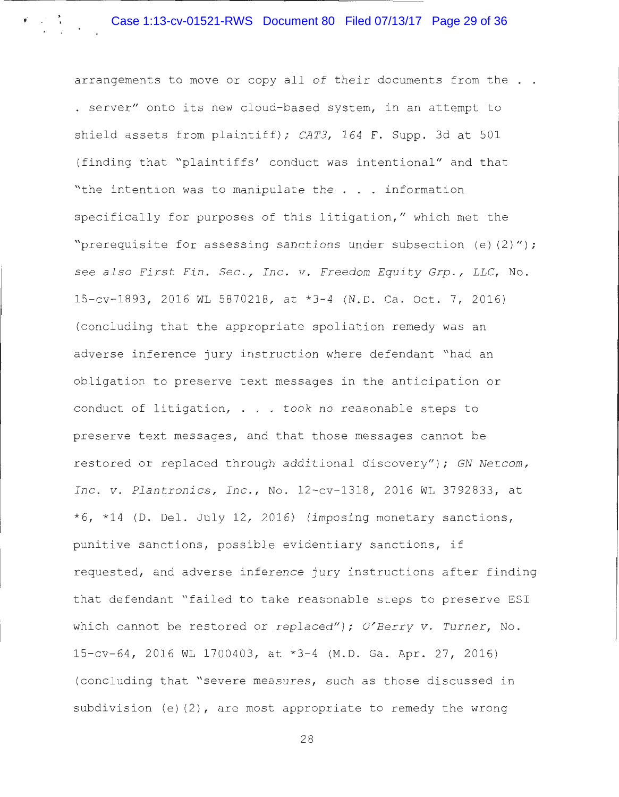arrangements to move or copy all of their documents from the . . . server" onto its new cloud-based system, in an attempt to shield assets from plaintiff); *CAT3*, 164 F. Supp. 3d at 501 (finding that "plaintiffs' conduct was intentional" and that "the intention was to manipulate the . . information specifically for purposes of this litigation, " which met the "prerequisite for assessing sanctions under subsection (e) (2)") ; *see also First Fin . Sec ., Inc . v . Freedom Equity Grp . , LLC,* No . 15 - cv - 1893, 2016 WL 5870218, at \*3 - 4 (N.D. Ca. Oct. 7, 2016) (concluding that the appropriate spoliation remedy was an adverse inference jury instruction where defendant " had an obligation to preserve text messages in the anticipation or conduct of litigation, . . . took no reasonable steps to preserve text messages, and that those messages cannot be restored or replaced through additional discovery"); *GN Netcom*, *Inc . v . Plantronics, Inc .,* No . 12-cv- 1318 , 2016 WL 3792833 , at  $*6$ ,  $*14$  (D. Del. July 12, 2016) (imposing monetary sanctions, punitive sanctions, possible evidentiary sanctions, if requested, and adverse inference jury instructions after finding that defendant "failed to take reasonable steps to preserve ESI which cannot be restored or replaced"); *O'Berry v. Turner*, No. 15 - cv - 64, 2016 WL 1700403, at \*3 - 4 (M.D. Ga. Apr. 27, 2016) (concluding that "severe measures, such as those discussed in subdivision (e) (2) , are most appropriate to remedy the wrong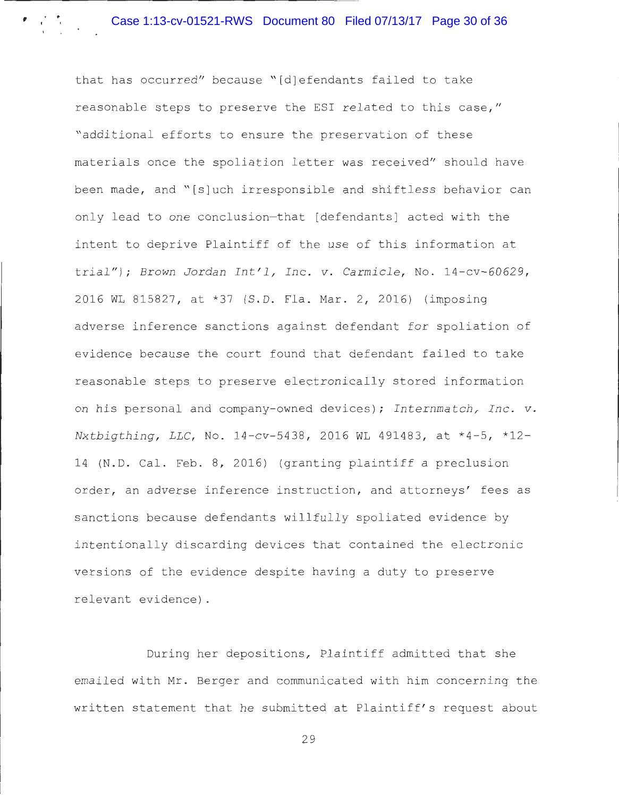$\cdot$   $\cdot$   $\cdot$ '

> that has occurred" because "[d]efendants failed to take reasonable steps to preserve the ESI related to this case," " additional efforts to ensure the preservation of these materials once the spoliation letter was received" should have been made, and "[s]uch irresponsible and shiftless behavior can only lead to one conclusion-that [defendants] acted with the intent to deprive Plaintiff of the use of this information at trial"); *Brown Jordan Int 'l, Inc . v. Carmicle ,* No. 14-cv-60629, 2016 WL 815827, at \*37 (S.D. Fla. Mar. 2, 2016) (imposing adverse inference sanctions against defendant for spoliation of evidence because the court found that defendant failed to take reasonable steps to preserve electronically stored information on his personal and company-owned devices); Internmatch, Inc. v. *Nxtbigthing, LLC, No.* 14-cv-5438, 2016 WL 491483, at \*4-5, \*12-14 (N.D. Cal. Feb. 8, 2016) (granting plaintiff a preclusion order, an adverse inference instruction, and attorneys' fees as sanctions because defendants willfully spoliated evidence by intentionally discarding devices that contained the electronic versions of the evidence despite having a duty to preserve relevant evidence) .

> During her depositions, Plaintiff admitted that she emailed with Mr. Berger and communicated with him concerning the written statement that he submitted at Plaintiff's request about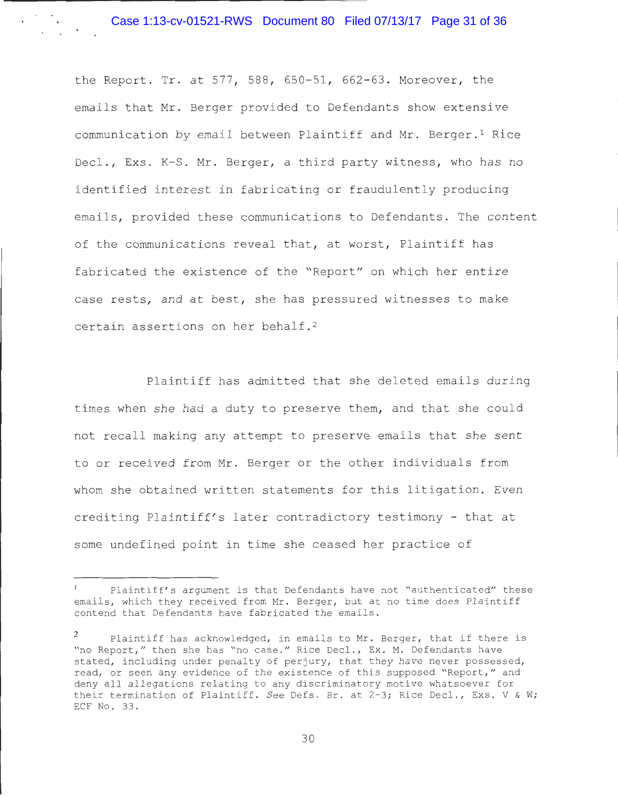the Report. Tr. at 577, 588, 650-51, 662-63. Moreover, the emails that Mr. Berger provided to Defendants show extensive communication by email between Plaintiff and Mr. Berger.<sup>1</sup> Rice Decl., Exs. K-S. Mr. Berger, a third party witness, who has no identified interest in fabricating or fraudulently producing emails, provided these communications to Defendants. The content of the communications reveal that, at worst, Plaintiff has fabricated the existence of the "Report" on which her entire case rests, and at best, she has pressured witnesses to make certain assertions on her behalf.<sup>2</sup>

Plaintiff has admitted that she deleted emails during times when she had a duty to preserve them, and that she could not recall making any attempt to preserve emails that she sent to or received from Mr. Berger or the other individuals from whom she obtained written statements for this litigation. Even crediting Plaintiff's later contradictory testimony - that at some undefined point in time she ceased her practice of

Plaintiff's argument is that Defendants have not "authenticated" these emails, which they received from Mr. Berger, but at no time does Plaintiff contend that Defendants have fabricated the emails .

Plaintiff has acknowledged, in emails to Mr. Berger, that if there is "no Report," then she has "no case." Rice Decl., Ex. M. Defendants have stated, including under penalty of perjury, that they have never possessed, read, or seen any evidence of the existence of this supposed "Report," and deny all allegations relating to any discriminatory motive whatsoever for their termination of Plaintiff. See Defs. Br. at 2-3; Rice Decl., Exs. V & W; ECF No. 33.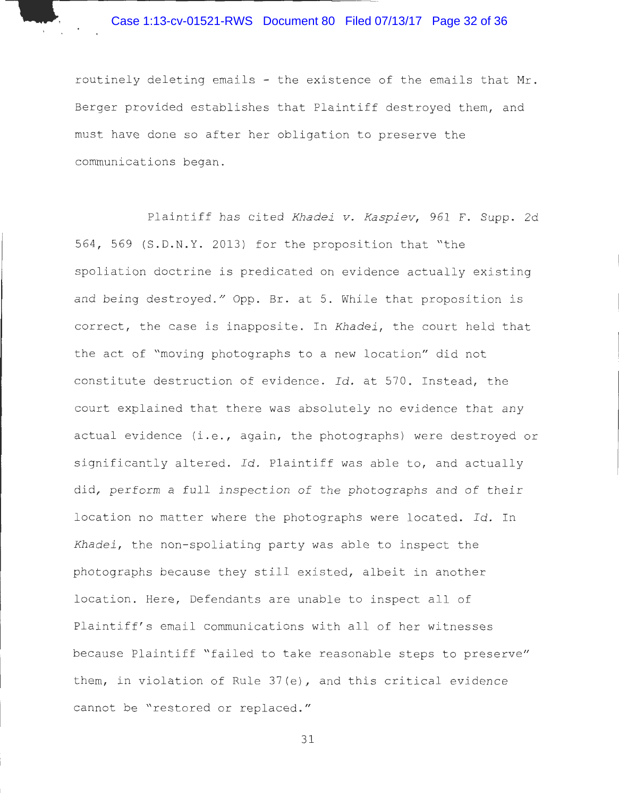routinely deleting emails - the existence of the emails that Mr . Berger provided establishes that Plaintiff destroyed them, and must have done so after her obligation to preserve the communications began .

Plaintiff has cited *Khadei v. Kaspiev*, 961 F. Supp. 2d 564, 569 (S.D.N.Y. 2013) for the proposition that "the spoliation doctrine is predicated on evidence actually existing and being destroyed." Opp. Br. at 5. While that proposition is correct , the case is inapposite. In *Khadei ,* the court held that the act of "moving photographs to a new location" did not constitute destruction of evidence. *Id.* at 570 . Instead, the court explained that there was absolutely no evidence that any actual evidence (i.e., again, the photographs) were destroyed or significantly altered. *Id.* Plaintiff was able to, and actually did, perform a full inspection of the photographs and of their location no matter where the photographs were located. *Id.* In *Khadei ,* the non- spoliating party was able to inspect the photographs because they still existed, albeit in another location. Here, Defendants are unable to inspect all of Plaintiff's email communications with all of her witnesses because Plaintiff "failed to take reasonable steps to preserve" them, in violation of Rule 37(e) , and this critical evidence cannot be "restored or replaced. "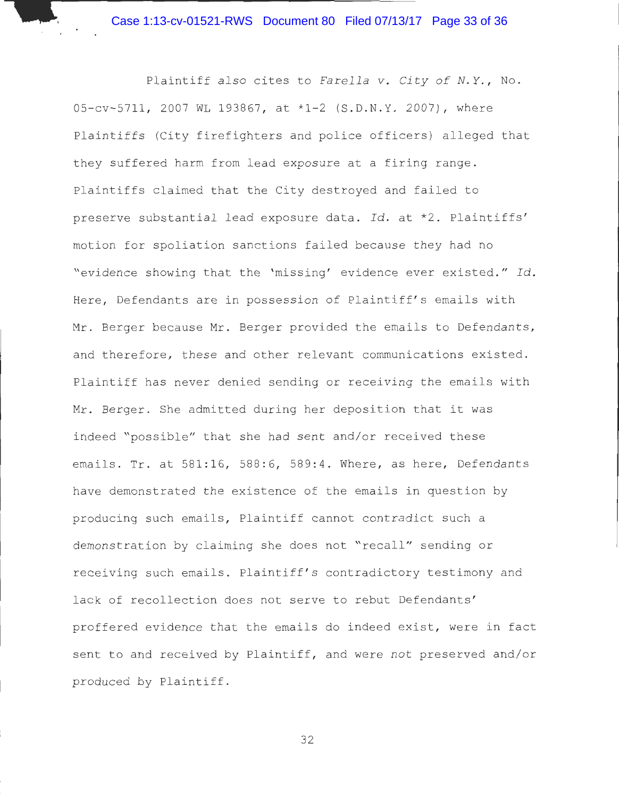Plaintiff also cites to *Farella v. City of N.Y.*, No. 05-cv-5711, 2007 WL 193867, at \*1-2 (S.D.N.Y. 2007), where Plaintiffs (City firefighters and police officers) alleged that they suffered harm from lead exposure at a firing range . Plaintiffs claimed that the City destroyed and failed to preserve substantial lead exposure data. Id. at \*2. Plaintiffs' motion for spoliation sanctions failed because they had no "evidence showing that the 'missing' evidence ever existed." Id. Here, Defendants are in possession of Plaintiff's emails with Mr. Berger because Mr. Berger provided the emails to Defendants, and therefore, these and other relevant communications existed. Plaintiff has never denied sending or receiving the emails with Mr. Berger. She admitted during her deposition that it was indeed "possible" that she had sent and/or received these emails. Tr. at 581:16, 588:6, 589:4. Where, as here, Defendants have demonstrated the existence of the emails in question by producing such emails, Plaintiff cannot contradict such a demonstration by claiming she does not "recall" sending or receiving such emails. Plaintiff's contradictory testimony and lack of recollection does not serve to rebut Defendants' proffered evidence that the emails do indeed exist, were in fact sent to and received by Plaintiff, and were not preserved and/or produced by Plaintiff .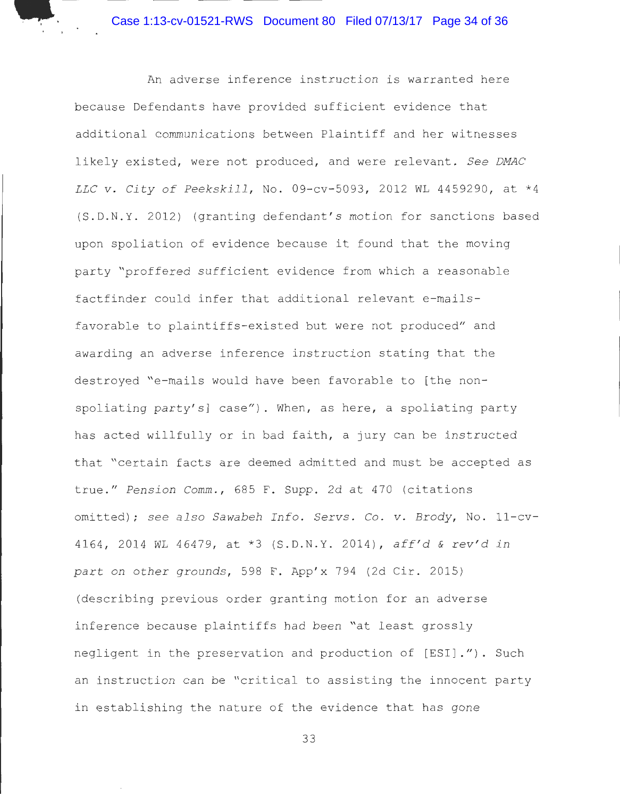Case 1:13-cv-01521-RWS Document 80 Filed 07/13/17 Page 34 of 36

An adverse inference instruction is warranted here because Defendants have provided sufficient evidence that additional communications between Plaintiff and her witnesses likely existed, were not produced, and were relevant. See DMAC *LLC v. City of Peekskill*, No. 09-cv-5093, 2012 WL 4459290, at \*4 (S . D. N. Y. 2012) (granting defendant ' s motion for sanctions based upon spoliation of evidence because it found that the moving party "proffered sufficient evidence from which a reasonable factfinder could infer that additional relevant e-mailsfavorable to plaintiffs-existed but were not produced" and awarding an adverse inference instruction stating that the destroyed "e-mails would have been favorable to [the nonspoliating party's] case"). When, as here, a spoliating party has acted willfully or in bad faith, a jury can be instructed that "certain facts are deemed admitted and must be accepted as true." *Pension Comm .,* 685 F . Supp. 2d at 470 (citations omitted) ; *see also Sawabeh Info . Servs .* Co . *v . Brody,* No . 11 - cv-<sup>4164</sup> , 2014 WL 46479, at \*3 (S . D.N . Y. 2014) , *aff' <sup>d</sup>*& *rev ' d in*  part on other grounds, 598 F. App'x 794 (2d Cir. 2015) (describing previous order granting motion for an adverse inference because plaintiffs had been "at least grossly negligent in the preservation and production of [ESI]."). Such an instruction can be "critical to assisting the innocent party in establishing the nature of the evidence that has gone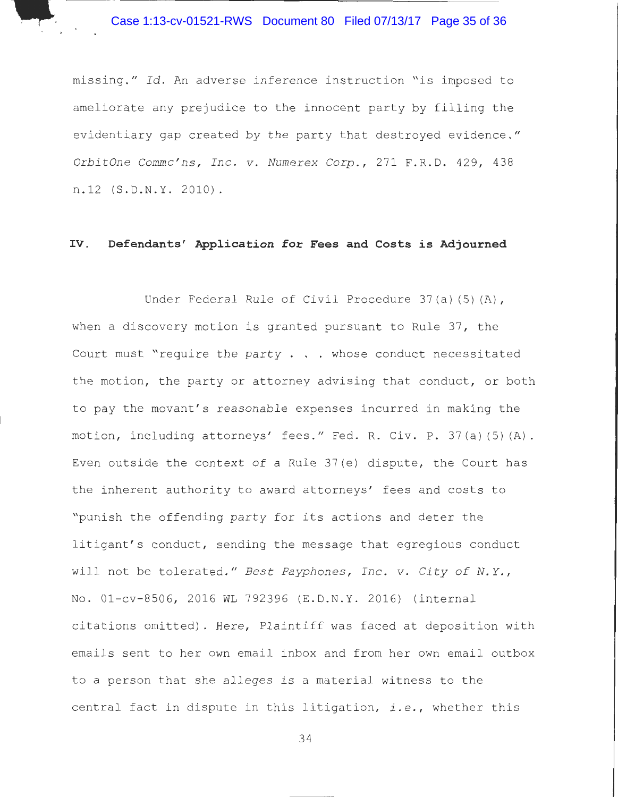,.\_

missing ." *Id .* An adverse inference instruction "is imposed to ameliorate any prejudice to the innocent party by filling the evidentiary gap created by the party that destroyed evidence ." *OrbitOne Commc ' ns, Inc. v . Numerex Corp .,* 271 F . R. D. 429 , 438 n.12 (S.D.N.Y. 2010).

# **IV. Defendants' Application for Fees and Costs is Adjourned**

Under Federal Rule of Civil Procedure 37(a)(5)(A), when a discovery motion is granted pursuant to Rule 37, the Court must "require the party  $\ldots$  whose conduct necessitated the motion, the party or attorney advising that conduct, or both to pay the movant's reasonable expenses incurred in making the motion, including attorneys' fees." Fed. R. Civ. P. 37(a)(5)(A). Even outside the context of a Rule  $37(e)$  dispute, the Court has the inherent authority to award attorneys' fees and costs to "punish the offending party for its actions and deter the litigant's conduct, sending the message that egregious conduct will not be tolerated ." *Best Payphones , Inc . v . City of N. Y. ,*  No. 01-cv-8506, 2016 WL 792396 (E.D.N.Y. 2016) (internal citations omitted). Here, Plaintiff was faced at deposition with ema ils sent to her own email inbox and from her own email outbox to a person that she alleges is a material witness to the central fact in dispute in this litigation, *i.e .,* whether this